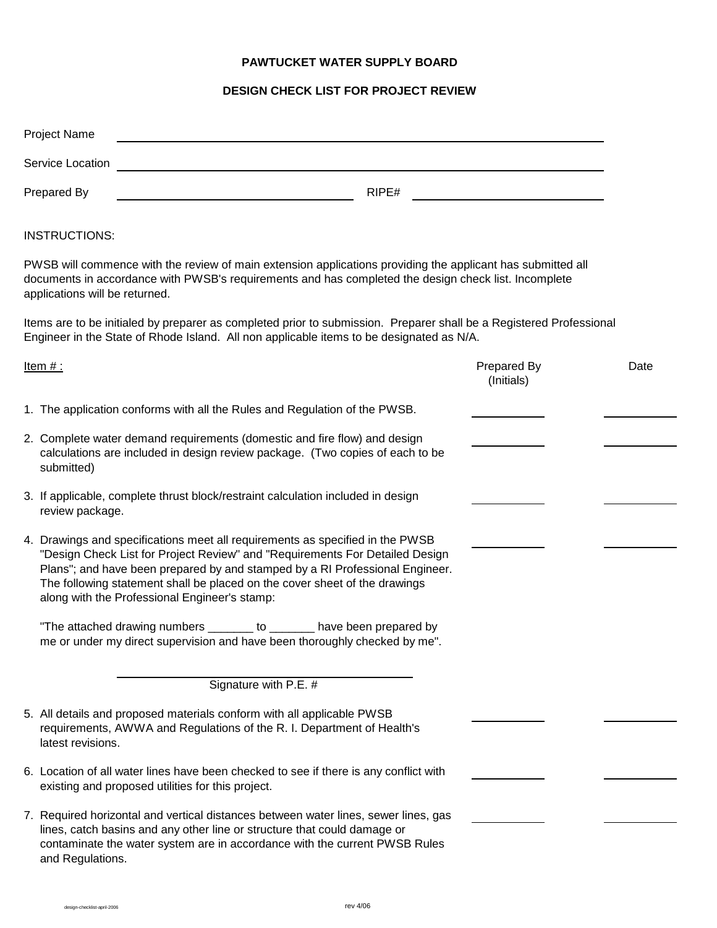## **PAWTUCKET WATER SUPPLY BOARD**

## **DESIGN CHECK LIST FOR PROJECT REVIEW**

|                                                                                                                                                                                                                                                       | <b>Project Name</b>                                                                                                                                                                                                                                                                                                                                                          |                           |      |
|-------------------------------------------------------------------------------------------------------------------------------------------------------------------------------------------------------------------------------------------------------|------------------------------------------------------------------------------------------------------------------------------------------------------------------------------------------------------------------------------------------------------------------------------------------------------------------------------------------------------------------------------|---------------------------|------|
| Service Location                                                                                                                                                                                                                                      |                                                                                                                                                                                                                                                                                                                                                                              |                           |      |
| RIPE#<br>Prepared By                                                                                                                                                                                                                                  |                                                                                                                                                                                                                                                                                                                                                                              |                           |      |
| <b>INSTRUCTIONS:</b>                                                                                                                                                                                                                                  |                                                                                                                                                                                                                                                                                                                                                                              |                           |      |
| PWSB will commence with the review of main extension applications providing the applicant has submitted all<br>documents in accordance with PWSB's requirements and has completed the design check list. Incomplete<br>applications will be returned. |                                                                                                                                                                                                                                                                                                                                                                              |                           |      |
| Items are to be initialed by preparer as completed prior to submission. Preparer shall be a Registered Professional<br>Engineer in the State of Rhode Island. All non applicable items to be designated as N/A.                                       |                                                                                                                                                                                                                                                                                                                                                                              |                           |      |
|                                                                                                                                                                                                                                                       | <u>Item #:</u>                                                                                                                                                                                                                                                                                                                                                               | Prepared By<br>(Initials) | Date |
|                                                                                                                                                                                                                                                       | 1. The application conforms with all the Rules and Regulation of the PWSB.                                                                                                                                                                                                                                                                                                   |                           |      |
|                                                                                                                                                                                                                                                       | 2. Complete water demand requirements (domestic and fire flow) and design<br>calculations are included in design review package. (Two copies of each to be<br>submitted)                                                                                                                                                                                                     |                           |      |
|                                                                                                                                                                                                                                                       | 3. If applicable, complete thrust block/restraint calculation included in design<br>review package.                                                                                                                                                                                                                                                                          |                           |      |
|                                                                                                                                                                                                                                                       | 4. Drawings and specifications meet all requirements as specified in the PWSB<br>"Design Check List for Project Review" and "Requirements For Detailed Design<br>Plans"; and have been prepared by and stamped by a RI Professional Engineer.<br>The following statement shall be placed on the cover sheet of the drawings<br>along with the Professional Engineer's stamp: |                           |      |
|                                                                                                                                                                                                                                                       | "The attached drawing numbers _______ to _______ have been prepared by<br>me or under my direct supervision and have been thoroughly checked by me".                                                                                                                                                                                                                         |                           |      |
|                                                                                                                                                                                                                                                       | Signature with P.E. #                                                                                                                                                                                                                                                                                                                                                        |                           |      |
|                                                                                                                                                                                                                                                       | 5. All details and proposed materials conform with all applicable PWSB<br>requirements, AWWA and Regulations of the R. I. Department of Health's<br>latest revisions.                                                                                                                                                                                                        |                           |      |
|                                                                                                                                                                                                                                                       | 6. Location of all water lines have been checked to see if there is any conflict with<br>existing and proposed utilities for this project.                                                                                                                                                                                                                                   |                           |      |
|                                                                                                                                                                                                                                                       | 7. Required horizontal and vertical distances between water lines, sewer lines, gas<br>lines, catch basins and any other line or structure that could damage or<br>contaminate the water system are in accordance with the current PWSB Rules<br>and Regulations.                                                                                                            |                           |      |